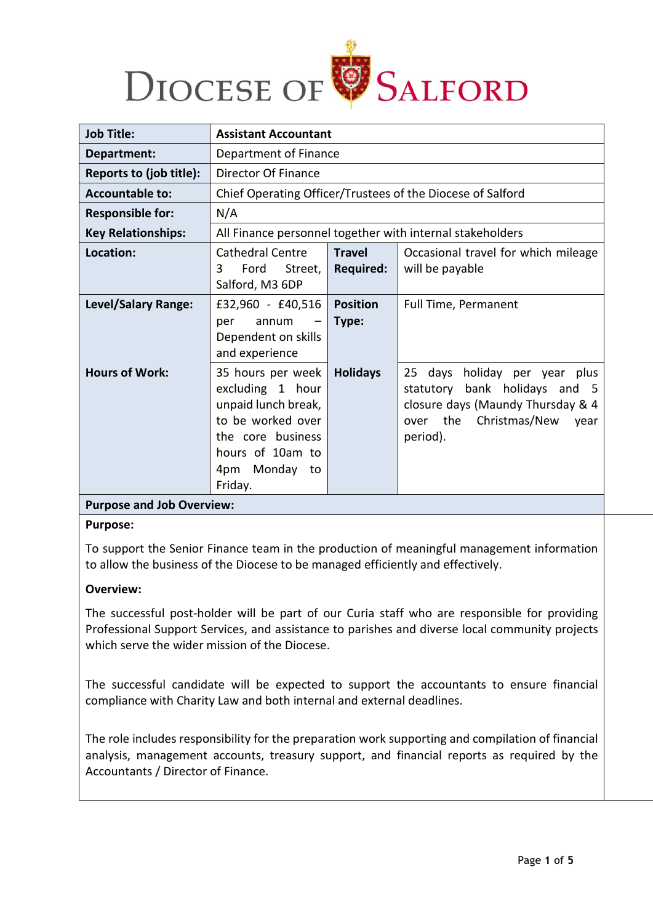

| <b>Job Title:</b>          | <b>Assistant Accountant</b>                                                                                                                                  |                                   |                                                                                                                                                               |
|----------------------------|--------------------------------------------------------------------------------------------------------------------------------------------------------------|-----------------------------------|---------------------------------------------------------------------------------------------------------------------------------------------------------------|
| Department:                | Department of Finance                                                                                                                                        |                                   |                                                                                                                                                               |
| Reports to (job title):    | Director Of Finance                                                                                                                                          |                                   |                                                                                                                                                               |
| <b>Accountable to:</b>     |                                                                                                                                                              |                                   | Chief Operating Officer/Trustees of the Diocese of Salford                                                                                                    |
| <b>Responsible for:</b>    | N/A                                                                                                                                                          |                                   |                                                                                                                                                               |
| <b>Key Relationships:</b>  | All Finance personnel together with internal stakeholders                                                                                                    |                                   |                                                                                                                                                               |
| Location:                  | <b>Cathedral Centre</b><br>Street,<br>3<br>Ford<br>Salford, M3 6DP                                                                                           | <b>Travel</b><br><b>Required:</b> | Occasional travel for which mileage<br>will be payable                                                                                                        |
| <b>Level/Salary Range:</b> | £32,960 - £40,516<br>annum<br>per<br>Dependent on skills<br>and experience                                                                                   | <b>Position</b><br>Type:          | Full Time, Permanent                                                                                                                                          |
| <b>Hours of Work:</b>      | 35 hours per week<br>excluding 1 hour<br>unpaid lunch break,<br>to be worked over<br>the core business<br>hours of 10am to<br>Monday<br>4pm<br>to<br>Friday. | <b>Holidays</b>                   | holiday per year<br>25<br>days<br>plus<br>statutory bank holidays and 5<br>closure days (Maundy Thursday & 4<br>the Christmas/New<br>year<br>over<br>period). |

### **Purpose and Job Overview:**

#### **Purpose:**

To support the Senior Finance team in the production of meaningful management information to allow the business of the Diocese to be managed efficiently and effectively.

### **Overview:**

The successful post-holder will be part of our Curia staff who are responsible for providing Professional Support Services, and assistance to parishes and diverse local community projects which serve the wider mission of the Diocese.

The successful candidate will be expected to support the accountants to ensure financial compliance with Charity Law and both internal and external deadlines.

The role includes responsibility for the preparation work supporting and compilation of financial analysis, management accounts, treasury support, and financial reports as required by the Accountants / Director of Finance.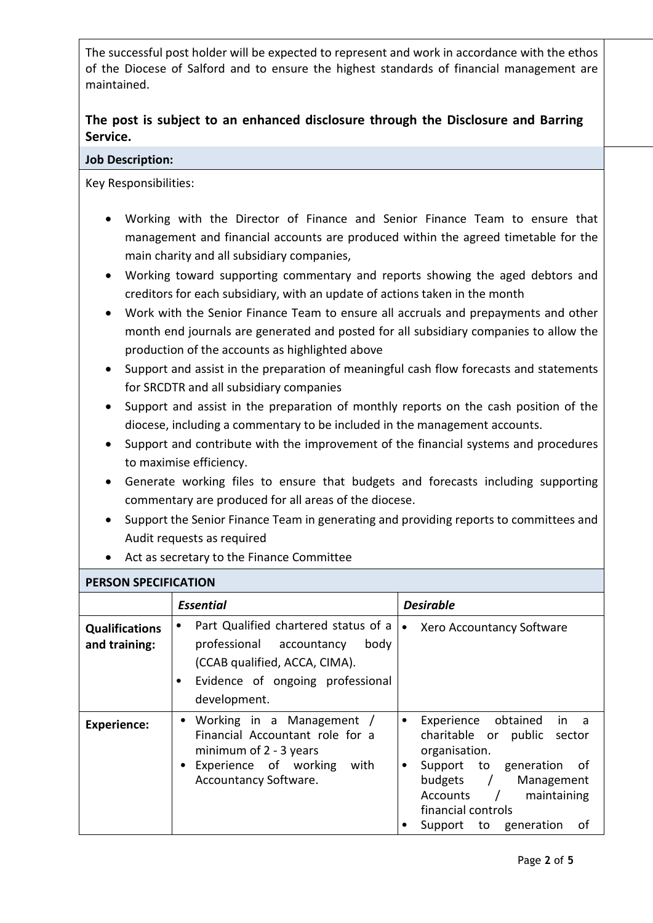The successful post holder will be expected to represent and work in accordance with the ethos of the Diocese of Salford and to ensure the highest standards of financial management are maintained.

# **The post is subject to an enhanced disclosure through the Disclosure and Barring Service.**

## **Job Description:**

Key Responsibilities:

- Working with the Director of Finance and Senior Finance Team to ensure that management and financial accounts are produced within the agreed timetable for the main charity and all subsidiary companies,
- Working toward supporting commentary and reports showing the aged debtors and creditors for each subsidiary, with an update of actions taken in the month
- Work with the Senior Finance Team to ensure all accruals and prepayments and other month end journals are generated and posted for all subsidiary companies to allow the production of the accounts as highlighted above
- Support and assist in the preparation of meaningful cash flow forecasts and statements for SRCDTR and all subsidiary companies
- Support and assist in the preparation of monthly reports on the cash position of the diocese, including a commentary to be included in the management accounts.
- Support and contribute with the improvement of the financial systems and procedures to maximise efficiency.
- Generate working files to ensure that budgets and forecasts including supporting commentary are produced for all areas of the diocese.
- Support the Senior Finance Team in generating and providing reports to committees and Audit requests as required
- Act as secretary to the Finance Committee

# **PERSON SPECIFICATION**

| י נושטו אינו וכאו אושט                 |                                                                                                                                                                            |                                                                                                                                                                                                                                              |  |
|----------------------------------------|----------------------------------------------------------------------------------------------------------------------------------------------------------------------------|----------------------------------------------------------------------------------------------------------------------------------------------------------------------------------------------------------------------------------------------|--|
|                                        | <b>Essential</b>                                                                                                                                                           | <b>Desirable</b>                                                                                                                                                                                                                             |  |
| <b>Qualifications</b><br>and training: | Part Qualified chartered status of a<br>٠<br>professional<br>body<br>accountancy<br>(CCAB qualified, ACCA, CIMA).<br>Evidence of ongoing professional<br>٠<br>development. | Xero Accountancy Software<br>$\bullet$                                                                                                                                                                                                       |  |
| <b>Experience:</b>                     | • Working in a Management /<br>Financial Accountant role for a<br>minimum of $2 - 3$ years<br>Experience of working<br>with<br><b>Accountancy Software.</b>                | Experience obtained<br>in a<br>٠<br>charitable or public<br>sector<br>organisation.<br>Support to generation<br>of<br>$\bullet$<br>budgets /<br>Management<br>maintaining<br>Accounts /<br>financial controls<br>оf<br>Support to generation |  |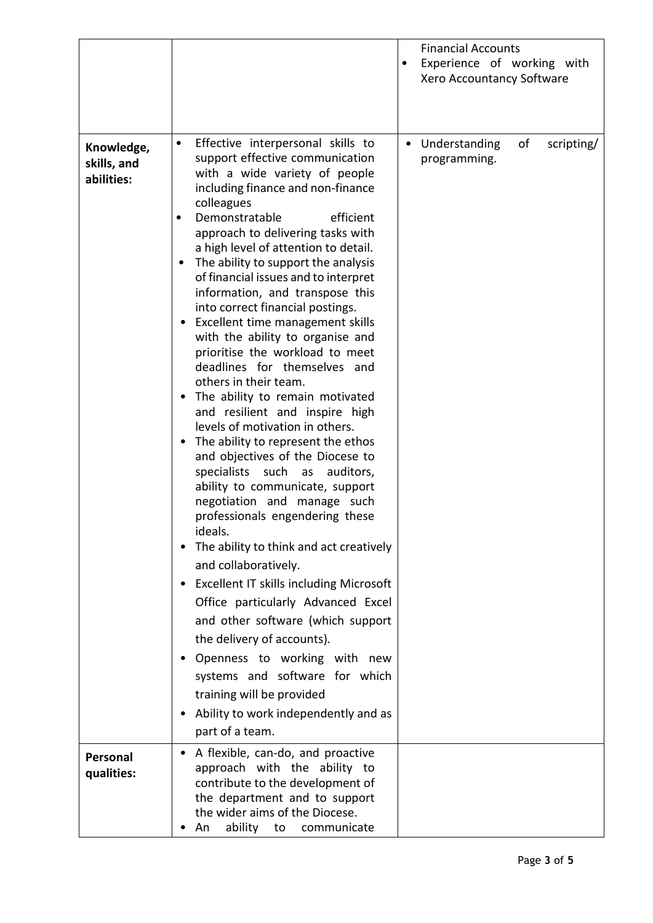|                                         |                                                                                                                                                                                                                                                                                                                                                                                                                                                                                                                                                                                                                                                                                                                                                                                                                                                                                                                                                                                                                                                                                                                                                                                                                                                                                                                                                                                          | <b>Financial Accounts</b><br>Experience of working with<br>$\bullet$<br>Xero Accountancy Software |
|-----------------------------------------|------------------------------------------------------------------------------------------------------------------------------------------------------------------------------------------------------------------------------------------------------------------------------------------------------------------------------------------------------------------------------------------------------------------------------------------------------------------------------------------------------------------------------------------------------------------------------------------------------------------------------------------------------------------------------------------------------------------------------------------------------------------------------------------------------------------------------------------------------------------------------------------------------------------------------------------------------------------------------------------------------------------------------------------------------------------------------------------------------------------------------------------------------------------------------------------------------------------------------------------------------------------------------------------------------------------------------------------------------------------------------------------|---------------------------------------------------------------------------------------------------|
| Knowledge,<br>skills, and<br>abilities: | Effective interpersonal skills to<br>$\bullet$<br>support effective communication<br>with a wide variety of people<br>including finance and non-finance<br>colleagues<br>efficient<br>Demonstratable<br>٠<br>approach to delivering tasks with<br>a high level of attention to detail.<br>The ability to support the analysis<br>$\bullet$<br>of financial issues and to interpret<br>information, and transpose this<br>into correct financial postings.<br>Excellent time management skills<br>with the ability to organise and<br>prioritise the workload to meet<br>deadlines for themselves and<br>others in their team.<br>The ability to remain motivated<br>and resilient and inspire high<br>levels of motivation in others.<br>The ability to represent the ethos<br>and objectives of the Diocese to<br>specialists such as<br>auditors,<br>ability to communicate, support<br>negotiation and manage such<br>professionals engendering these<br>ideals.<br>The ability to think and act creatively<br>٠<br>and collaboratively.<br>Excellent IT skills including Microsoft<br>$\bullet$<br>Office particularly Advanced Excel<br>and other software (which support<br>the delivery of accounts).<br>Openness to working with new<br>$\bullet$<br>systems and software for which<br>training will be provided<br>Ability to work independently and as<br>٠<br>part of a team. | of<br>Understanding<br>scripting/<br>$\bullet$<br>programming.                                    |
| Personal<br>qualities:                  | A flexible, can-do, and proactive<br>$\bullet$<br>approach with the ability to<br>contribute to the development of<br>the department and to support<br>the wider aims of the Diocese.<br>ability to<br>An<br>communicate                                                                                                                                                                                                                                                                                                                                                                                                                                                                                                                                                                                                                                                                                                                                                                                                                                                                                                                                                                                                                                                                                                                                                                 |                                                                                                   |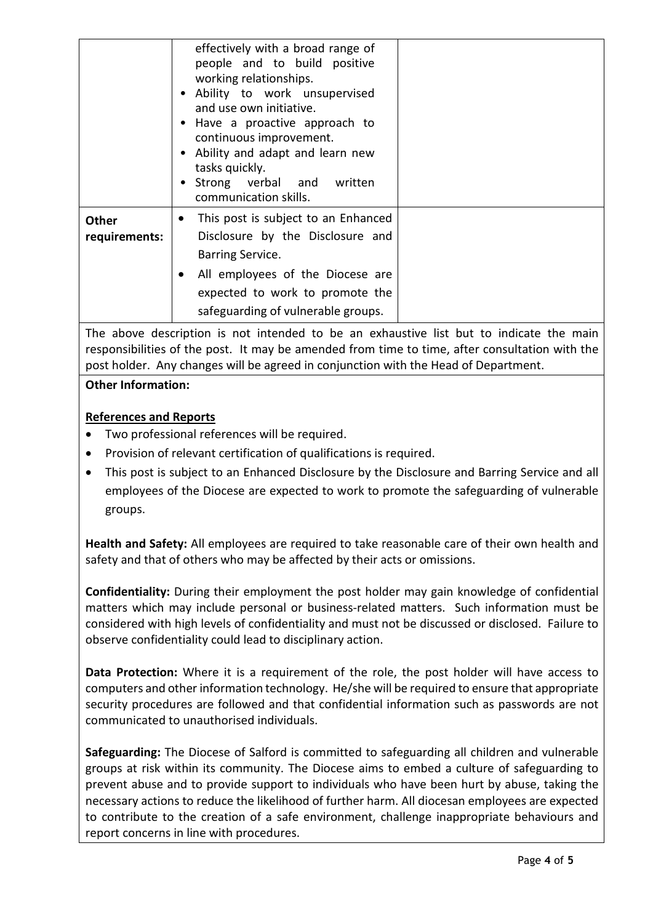|                               | effectively with a broad range of<br>people and to build positive<br>working relationships.<br>Ability to work unsupervised<br>and use own initiative.<br>Have a proactive approach to<br>continuous improvement.<br>Ability and adapt and learn new<br>tasks quickly.<br>Strong verbal and written<br>communication skills. |  |
|-------------------------------|------------------------------------------------------------------------------------------------------------------------------------------------------------------------------------------------------------------------------------------------------------------------------------------------------------------------------|--|
| <b>Other</b><br>requirements: | This post is subject to an Enhanced<br>$\bullet$<br>Disclosure by the Disclosure and<br>Barring Service.<br>All employees of the Diocese are<br>expected to work to promote the<br>safeguarding of vulnerable groups.                                                                                                        |  |

The above description is not intended to be an exhaustive list but to indicate the main responsibilities of the post. It may be amended from time to time, after consultation with the post holder. Any changes will be agreed in conjunction with the Head of Department.

# **References and Reports**

**Other Information:**

- Two professional references will be required.
- Provision of relevant certification of qualifications is required.
- This post is subject to an Enhanced Disclosure by the Disclosure and Barring Service and all employees of the Diocese are expected to work to promote the safeguarding of vulnerable groups.

**Health and Safety:** All employees are required to take reasonable care of their own health and safety and that of others who may be affected by their acts or omissions.

**Confidentiality:** During their employment the post holder may gain knowledge of confidential matters which may include personal or business-related matters. Such information must be considered with high levels of confidentiality and must not be discussed or disclosed. Failure to observe confidentiality could lead to disciplinary action.

**Data Protection:** Where it is a requirement of the role, the post holder will have access to computers and other information technology. He/she will be required to ensure that appropriate security procedures are followed and that confidential information such as passwords are not communicated to unauthorised individuals.

**Safeguarding:** The Diocese of Salford is committed to safeguarding all children and vulnerable groups at risk within its community. The Diocese aims to embed a culture of safeguarding to prevent abuse and to provide support to individuals who have been hurt by abuse, taking the necessary actions to reduce the likelihood of further harm. All diocesan employees are expected to contribute to the creation of a safe environment, challenge inappropriate behaviours and report concerns in line with procedures.